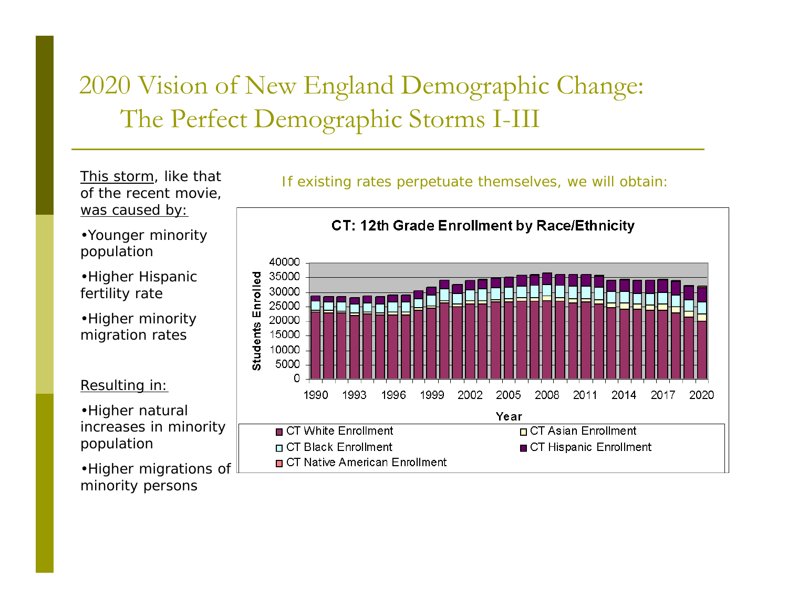# 2020 Vision of New England Demographic Change: The Perfect Demographic Storms I-III

This storm, like that of the recent movie, was caused by:

•Younger minority population

•Higher Hispanic fertility rate

•Higher minority migration rates

Resulting in:

•Higher natural increases in minority population

•Higher migrations of minority persons



If existing rates perpetuate themselves, we will obtain: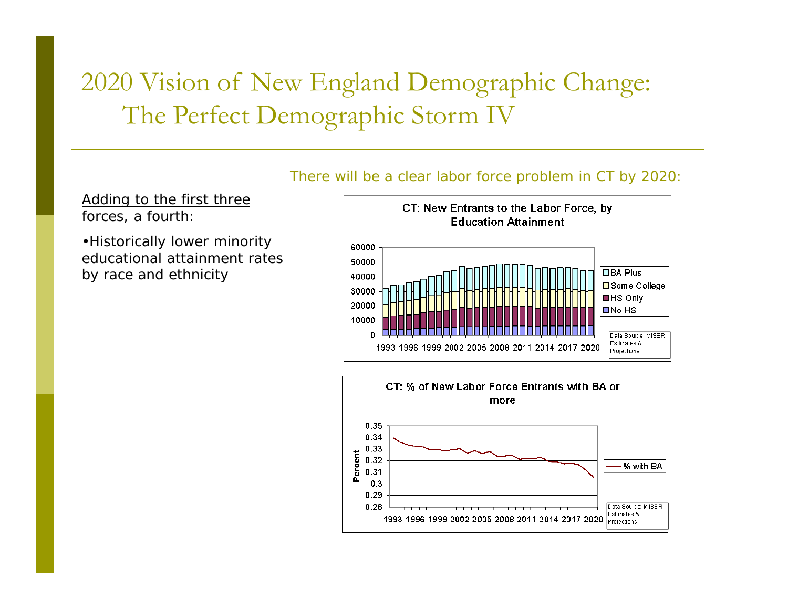# 2020 Vision of New England Demographic Change: The Perfect Demographic Storm IV

Adding to the first three forces, a fourth:

•Historically lower minority educational attainment rates by race and ethnicity





#### There will be a clear labor force problem in CT by 2020: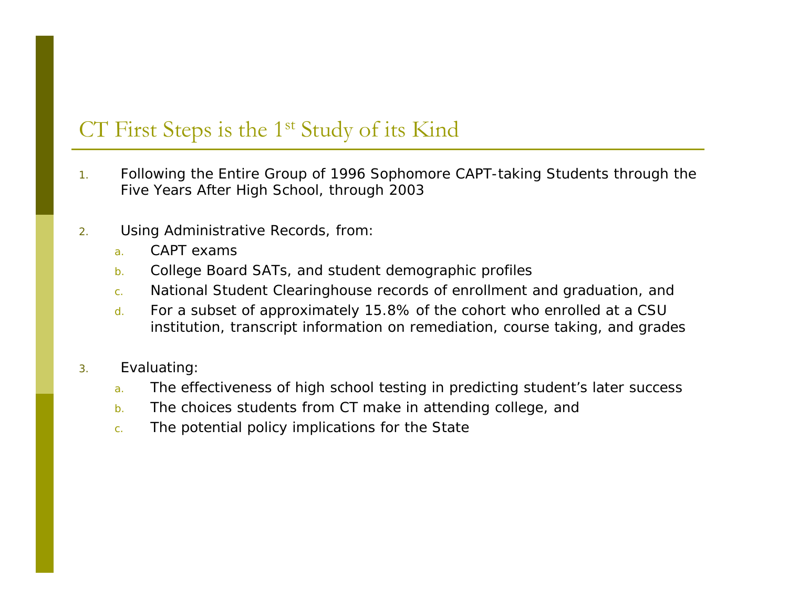#### CT First Steps is the 1<sup>st</sup> Study of its Kind

- 1. Following the Entire Group of 1996 Sophomore CAPT-taking Students through the Five Years After High School, through 2003
- 2. Using Administrative Records, from:
	- a.CAPT exams
	- b.College Board SATs, and student demographic profiles
	- c.National Student Clearinghouse records of enrollment and graduation, and
	- d. For a subset of approximately 15.8% of the cohort who enrolled at a CSU institution, transcript information on remediation, course taking, and grades
- 3. Evaluating:
	- a.The effectiveness of high school testing in predicting student's later success
	- b.The choices students from CT make in attending college, and
	- c.The potential policy implications for the State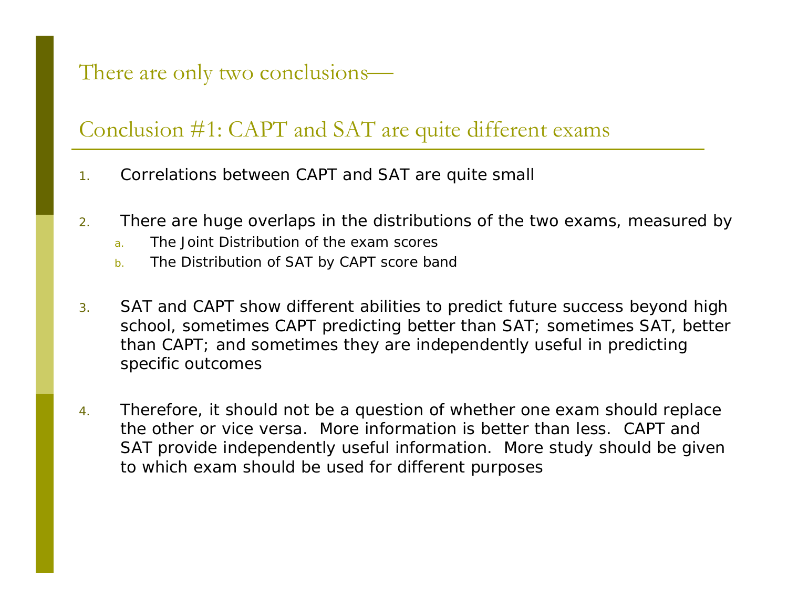#### There are only two conclusions—

#### Conclusion #1: CAPT and SAT are quite different exams

- 1.Correlations between CAPT and SAT are quite small
- 2. There are huge overlaps in the distributions of the two exams, measured by
	- a.The Joint Distribution of the exam scores
	- b.The Distribution of SAT by CAPT score band
- 3. SAT and CAPT show different abilities to predict future success beyond high school, sometimes CAPT predicting better than SAT; sometimes SAT, better than CAPT; and sometimes they are independently useful in predicting specific outcomes
- 4. Therefore, it should not be a question of whether one exam should replace the other or vice versa. More information is better than less. CAPT and SAT provide independently useful information. More study should be given to which exam should be used for different purposes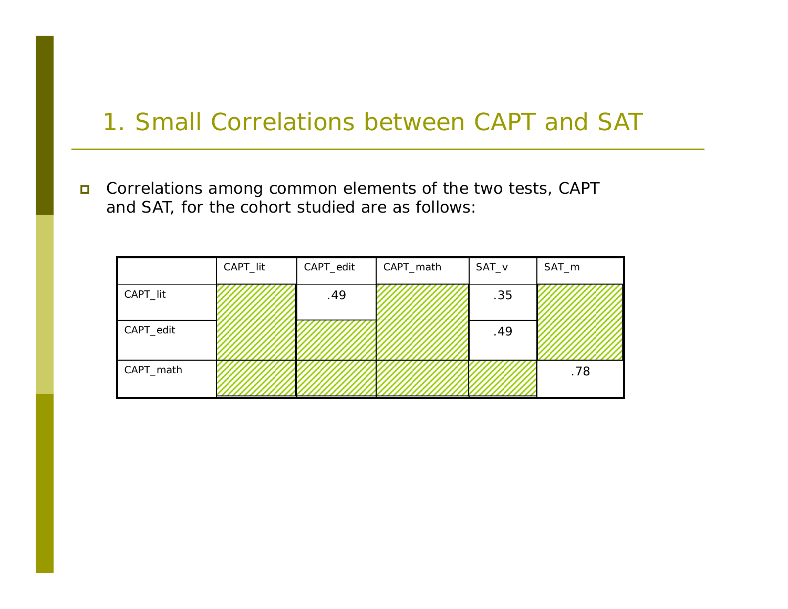### 1. Small Correlations between CAPT and SAT

 $\Box$  Correlations among common elements of the two tests, CAPT and SAT, for the cohort studied are as follows:

|           | CAPT_lit | CAPT_edit | CAPT_math | SAT_v | SAT_m |  |
|-----------|----------|-----------|-----------|-------|-------|--|
| CAPT_lit  |          | .49       |           | .35   |       |  |
| CAPT_edit |          |           |           | .49   |       |  |
| CAPT_math |          |           |           |       | .78   |  |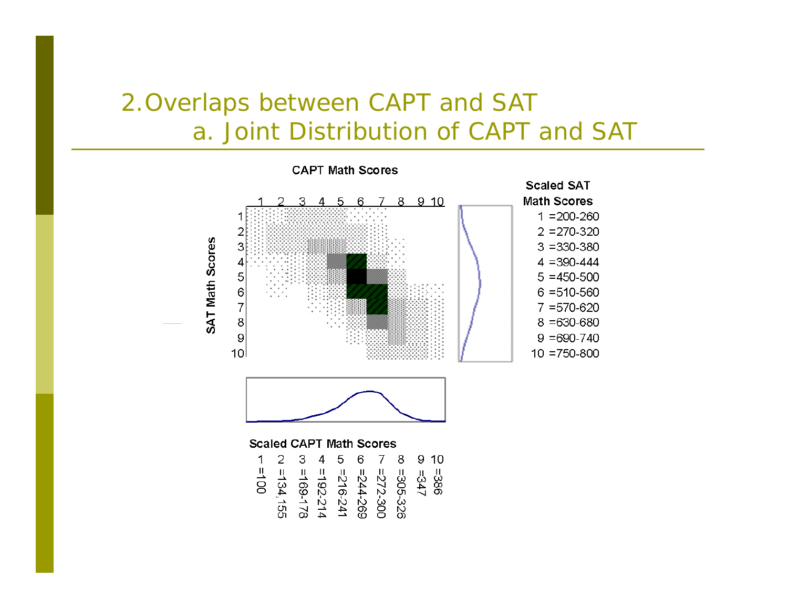# 2.Overlaps between CAPT and SAT a. Joint Distribution of CAPT and SAT

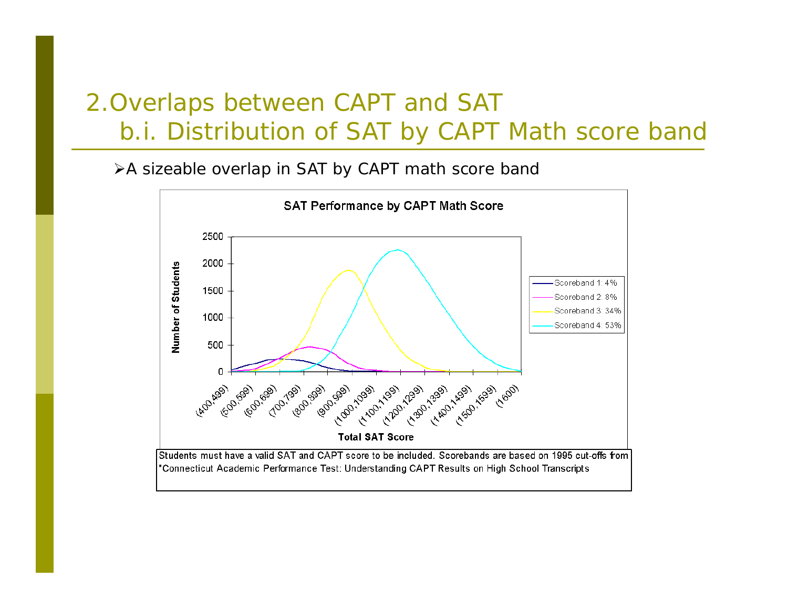# 2.Overlaps between CAPT and SAT b.i. Distribution of SAT by CAPT Math score band

¾A sizeable overlap in SAT by CAPT math score band



"Connecticut Academic Performance Test: Understanding CAPT Results on High School Transcripts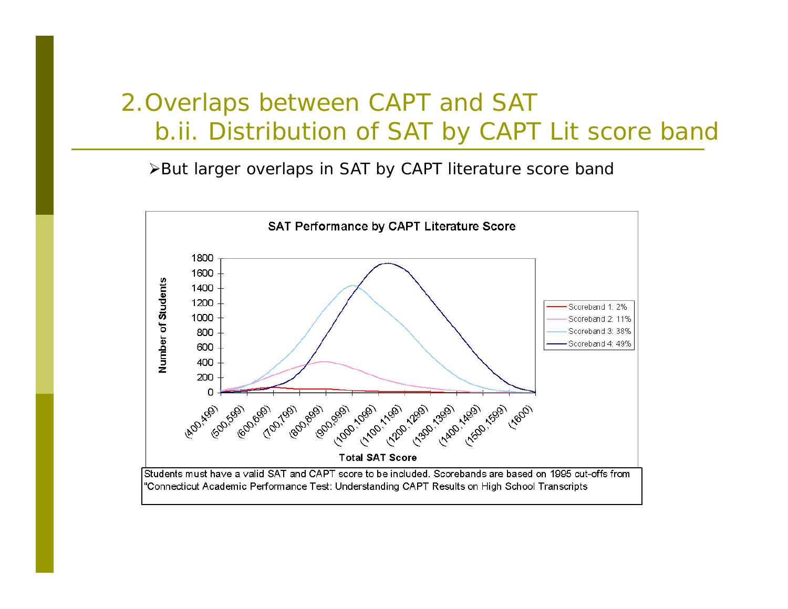# 2.Overlaps between CAPT and SAT b.ii. Distribution of SAT by CAPT Lit score band

¾But larger overlaps in SAT by CAPT literature score band

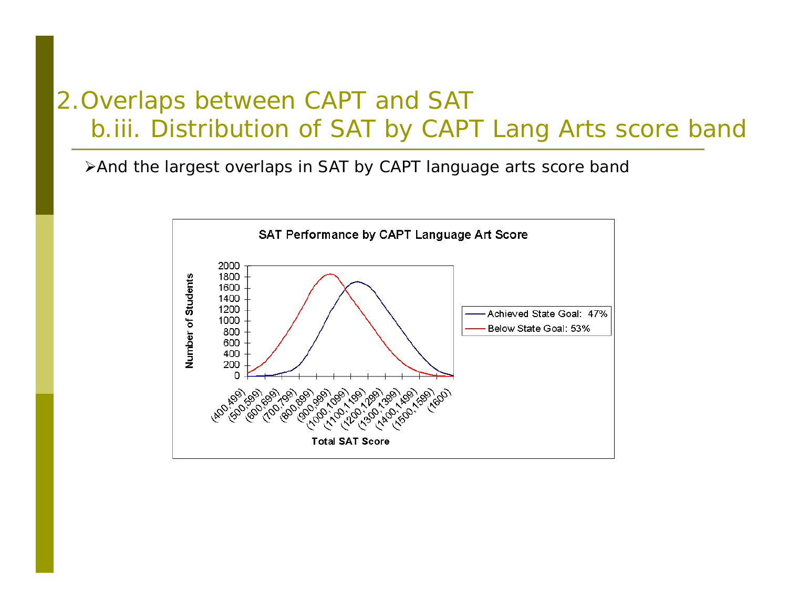# 2.Overlaps between CAPT and SAT b.iii. Distribution of SAT by CAPT Lang Arts score band

¾And the largest overlaps in SAT by CAPT language arts score band

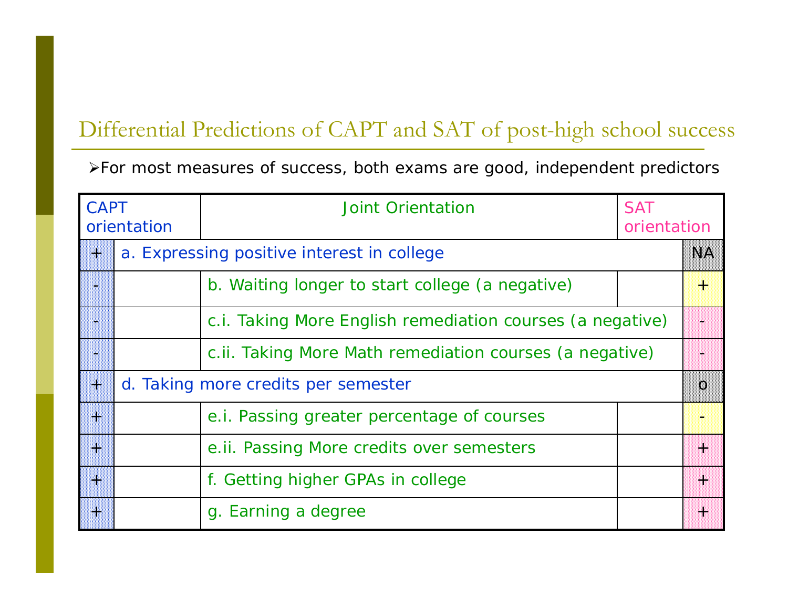#### Differential Predictions of CAPT and SAT of post-high school success

¾For most measures of success, both exams are good, independent predictors

| <b>CAPT</b><br>orientation                      |  | <b>Joint Orientation</b>                                  | <b>SAT</b><br>orientation |    |  |  |  |
|-------------------------------------------------|--|-----------------------------------------------------------|---------------------------|----|--|--|--|
| a. Expressing positive interest in college<br>W |  |                                                           |                           | NA |  |  |  |
|                                                 |  | b. Waiting longer to start college (a negative)           |                           | ₩  |  |  |  |
|                                                 |  | c.i. Taking More English remediation courses (a negative) |                           |    |  |  |  |
|                                                 |  | c.ii. Taking More Math remediation courses (a negative)   |                           |    |  |  |  |
| d. Taking more credits per semester<br>W        |  |                                                           |                           |    |  |  |  |
| W                                               |  | e.i. Passing greater percentage of courses                |                           |    |  |  |  |
| m                                               |  | e.ii. Passing More credits over semesters                 |                           | 躙  |  |  |  |
| m                                               |  | f. Getting higher GPAs in college                         |                           | M  |  |  |  |
| W                                               |  | g. Earning a degree                                       |                           | 嘂  |  |  |  |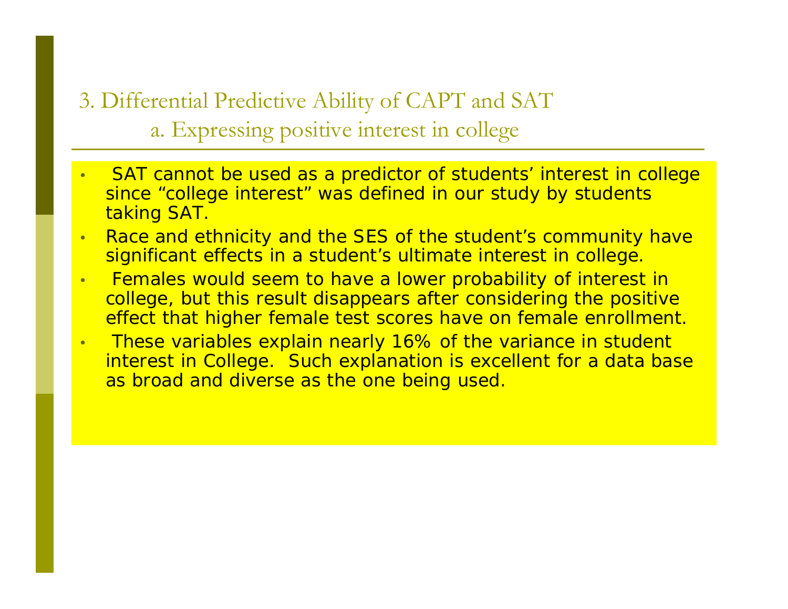3. Differential Predictive Ability of CAPT and SAT a. Expressing positive interest in college

- • SAT cannot be used as a predictor of students' interest in college since "college interest" was defined in our study by students taking SAT.
- • Race and ethnicity and the SES of the student's community have significant effects in a student's ultimate interest in college.
- • Females would seem to have a lower probability of interest in college, but this result disappears after considering the positive effect that higher female test scores have on female enrollment.
- •These variables explain nearly 16% of the variance in student interest in College. Such explanation is excellent for a data base as broad and diverse as the one being used.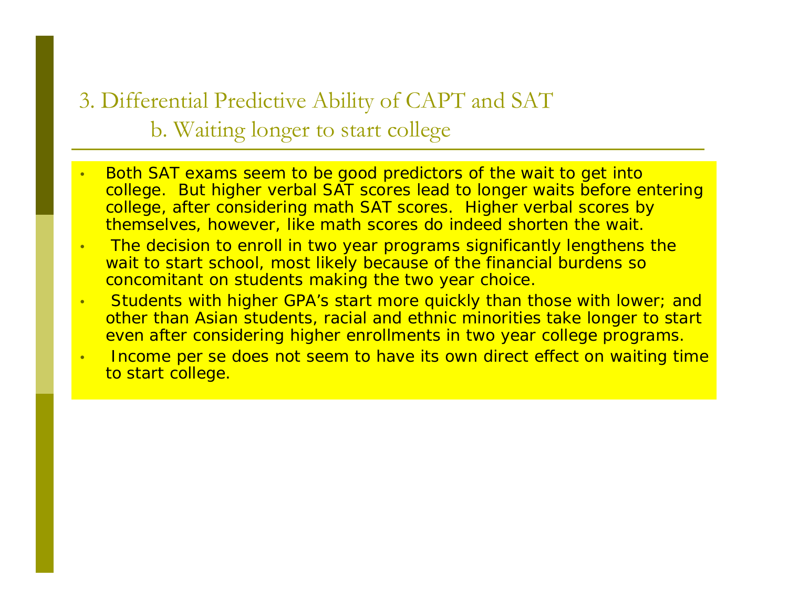3. Differential Predictive Ability of CAPT and SAT b. Waiting longer to start college

- • Both SAT exams seem to be good predictors of the wait to get into college. But higher verbal SAT scores lead to longer waits before entering college, after considering math SAT scores. Higher verbal scores by themselves, however, like math scores do indeed shorten the wait.
- • The decision to enroll in two year programs significantly lengthens the wait to start school, most likely because of the financial burdens so concomitant on students making the two year choice.
- • Students with higher GPA's start more quickly than those with lower; and other than Asian students, racial and ethnic minorities take longer to start even after considering higher enrollments in two year college programs.
- • Income per se does not seem to have its own direct effect on waiting time to start college.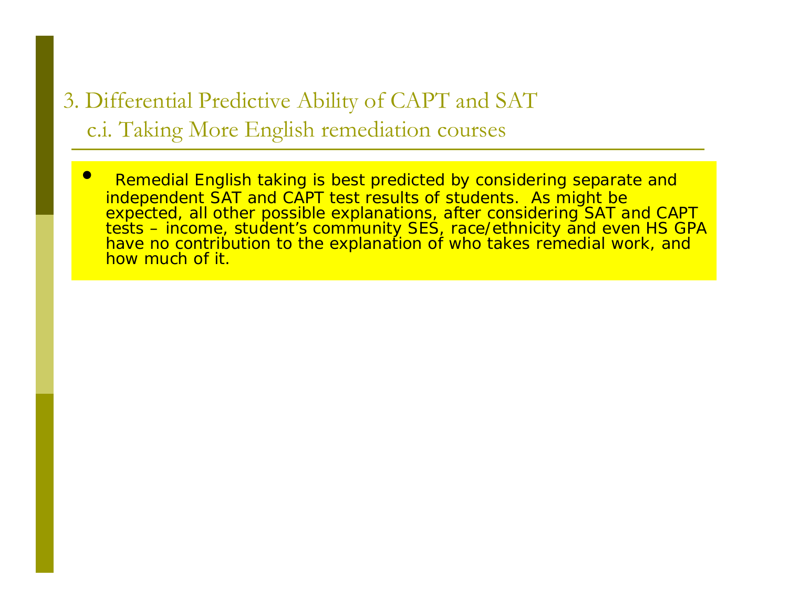## 3. Differential Predictive Ability of CAPT and SAT c.i. Taking More English remediation courses

 $\epsilon$  Remedial English taking is best predicted by considering separate and independent SAT and CAPT test results of students. As might be expected, all other possible explanations, after considering SAT and CAPT expected, all other possible explanations, after considering SAT and CAPT<br>tests – income, student's community SES, race/ethnicity and even HS GPA have no contribution to the explanation of who takes remedial work, and how much of it.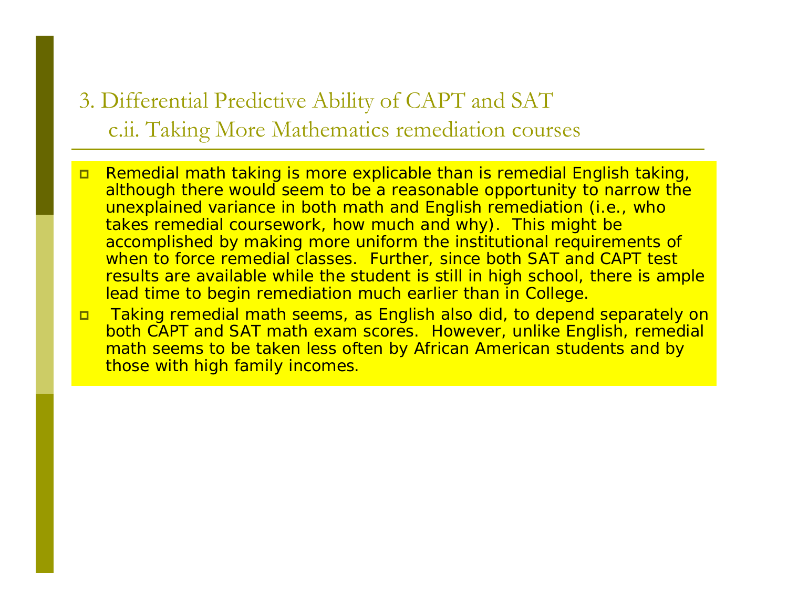### 3. Differential Predictive Ability of CAPT and SAT c.ii. Taking More Mathematics remediation courses

- $\Box$  Remedial math taking is more explicable than is remedial English taking, although there would seem to be a reasonable opportunity to narrow the unexplained variance in both math and English remediation (i.e., who takes remedial coursework, how much and why). This might be accomplished by making more uniform the institutional requirements of when to force remedial classes. Further, since both SAT and CAPT test results are available while the student is still in high school, there is ample lead time to begin remediation much earlier than in College.
- $\Box$  Taking remedial math seems, as English also did, to depend separately on both CAPT and SAT math exam scores. However, unlike English, remedial math seems to be taken less often by African American students and by those with high family incomes.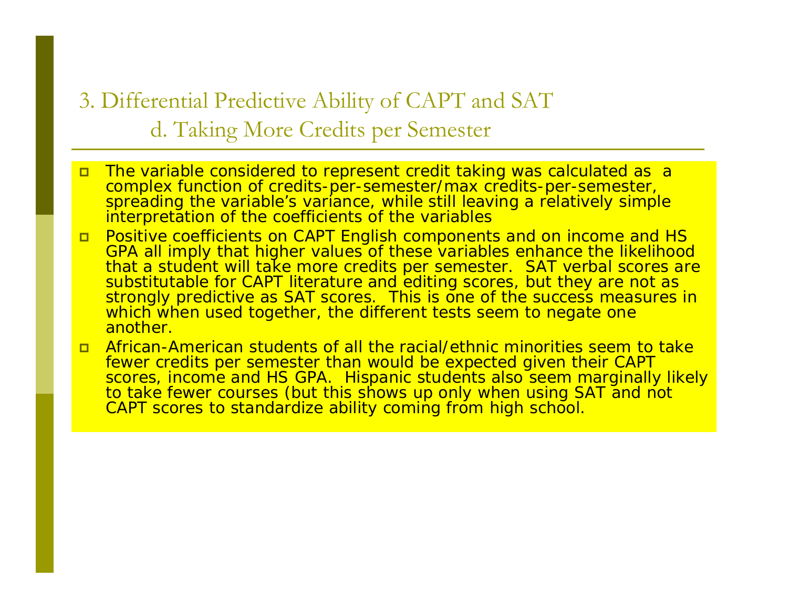3. Differential Predictive Ability of CAPT and SAT d. Taking More Credits per Semester

- $\Box$  The variable considered to represent credit taking was calculated as a complex function of credits-per-semester/max credits-per-semester, spreading the variable's variance, while still leaving a relatively simple interpretation of the coefficients of the variables
- $\Box$  Positive coefficients on CAPT English components and on income and HS GPA all imply that higher values of these variables enhance the likelihood that a student will take more credits per semester. SAT verbal scores are substitutable for CAPT literature and editing scores, but they are not as strongly predictive as SAT scores. This is one of the success measures in which when used together, the different tests seem to negate one another.
- $\Box$  African-American students of all the racial/ethnic minorities seem to take fewer credits per semester than would be expected given their CAPT<br>scores, income and HS GPA. Hispanic students also seem marginally likely to take fewer courses (but this shows up only when using SAT and not CAPT scores to standardize ability coming from high school.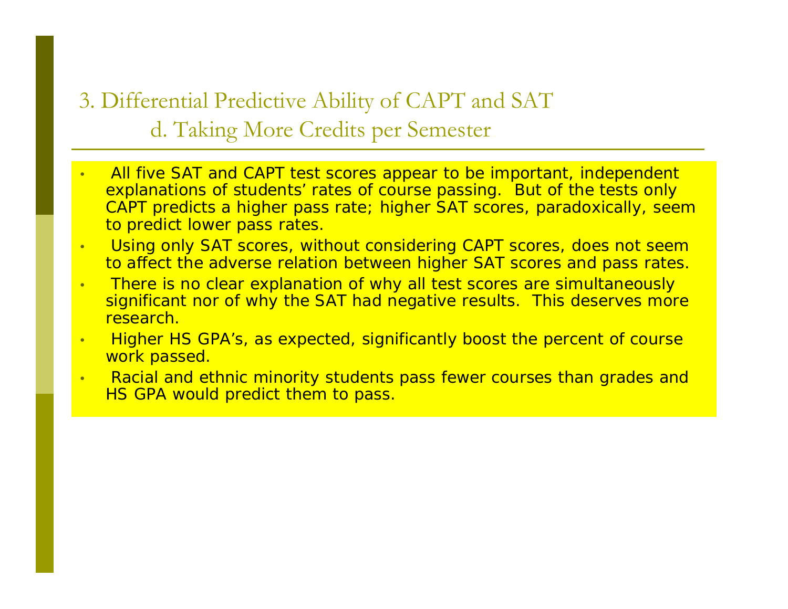## 3. Differential Predictive Ability of CAPT and SAT d. Taking More Credits per Semester

- • All five SAT and CAPT test scores appear to be important, independent explanations of students' rates of course passing. But of the tests only CAPT predicts a higher pass rate; higher SAT scores, paradoxically, seem to predict lower pass rates.
- • Using only SAT scores, without considering CAPT scores, does not seem to affect the adverse relation between higher SAT scores and pass rates.
- • There is no clear explanation of why all test scores are simultaneously significant nor of why the SAT had negative results. This deserves more research.
- • Higher HS GPA's, as expected, significantly boost the percent of course work passed.
- • Racial and ethnic minority students pass fewer courses than grades and HS GPA would predict them to pass.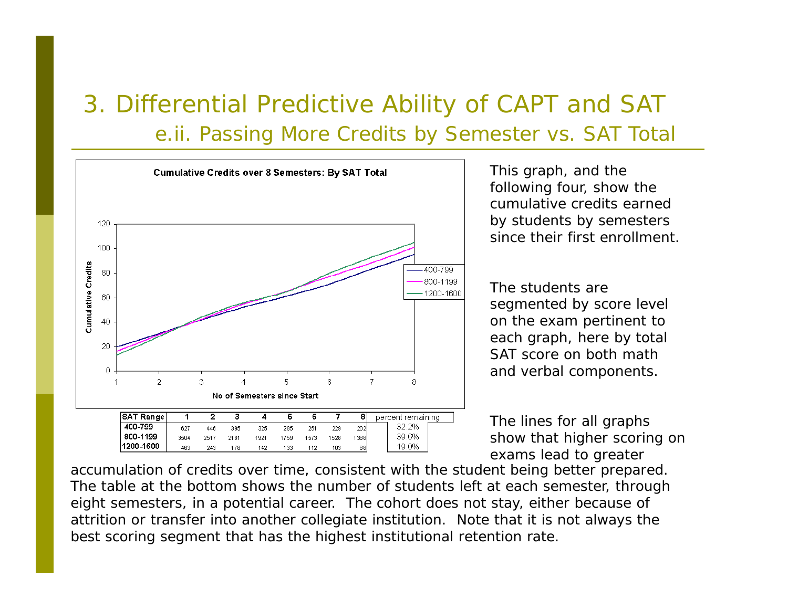# 3. Differential Predictive Ability of CAPT and SAT e.ii. Passing More Credits by Semester vs. SAT Total



This graph, and the following four, show the cumulative credits earned by students by semesters since their first enrollment.

The students are segmented by score level on the exam pertinent to each graph, here by total SAT score on both math and verbal components.

The lines for all graphs show that higher scoring on exams lead to greater

accumulation of credits over time, consistent with the student being better prepared. The table at the bottom shows the number of students left at each semester, through eight semesters, in a potential career. The cohort does not stay, either because of attrition or transfer into another collegiate institution. Note that it is not always the best scoring segment that has the highest institutional retention rate.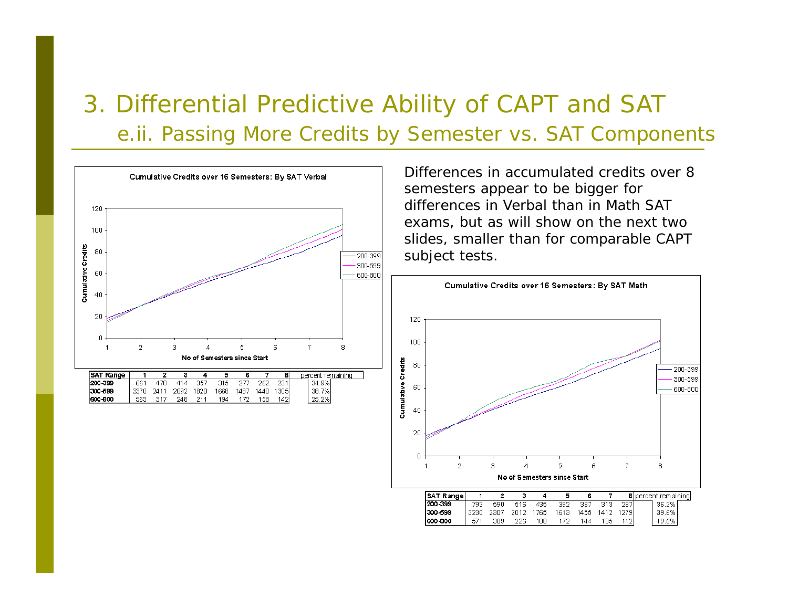# 3. Differential Predictive Ability of CAPT and SAT e.ii. Passing More Credits by Semester vs. SAT Components



Differences in accumulated credits over 8 semesters appear to be bigger for differences in Verbal than in Math SAT exams, but as will show on the next two slides, smaller than for comparable CAPT subject tests.

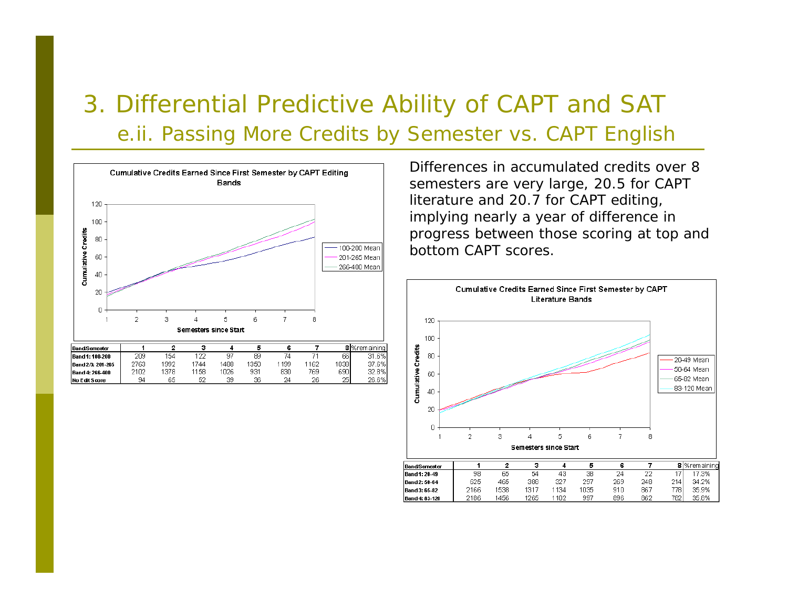# 3. Differential Predictive Ability of CAPT and SAT e.ii. Passing More Credits by Semester vs. CAPT English



Differences in accumulated credits over 8 semesters are very large, 20.5 for CAPT literature and 20.7 for CAPT editing, implying nearly a year of difference in progress between those scoring at top and bottom CAPT scores.



| <b>Band/Sernester</b> |      |      |      |       |      |     |     |       | 8 % remaining |
|-----------------------|------|------|------|-------|------|-----|-----|-------|---------------|
| <b>Band 1: 20-49</b>  | 98   | 65   | 54   | 43    | 38   | 24  | າາ  |       | 7.3%          |
| <b>Band 2: 50-64</b>  | 625  | 465  | 388  | 327   | 297  | 269 | 248 | 2141  | 34.2%         |
| Band 3: 65-82         | 2166 | 1538 | 1317 | 1134  | 1035 | 910 | 867 | 7781. | 35.9%         |
| Band 4: 83-120        | 2186 | 1456 | 1265 | l 1N2 | 997  | 896 | 862 | 7821  | 35.8%         |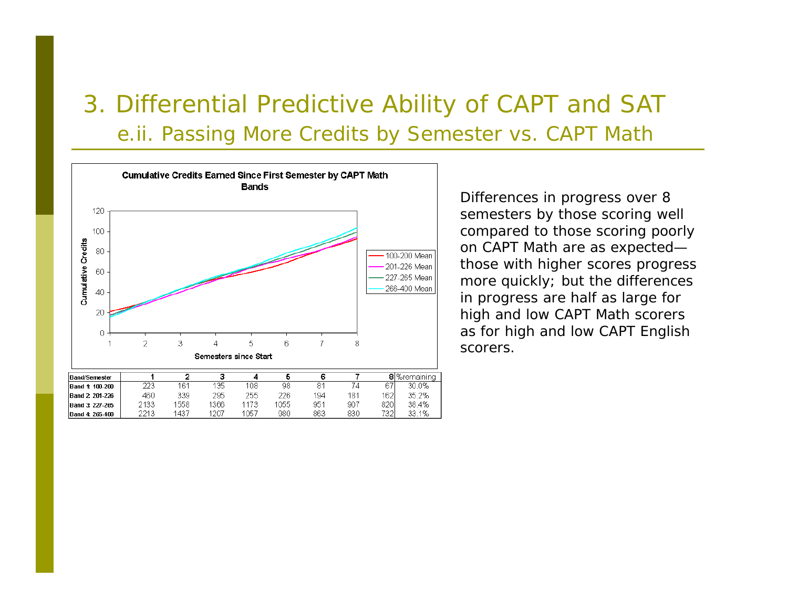# 3. Differential Predictive Ability of CAPT and SAT e.ii. Passing More Credits by Semester vs. CAPT Math



Differences in progress over 8 semesters by those scoring well compared to those scoring poorly on CAPT Math are as expected those with higher scores progress more quickly; but the differences in progress are half as large for high and low CAPT Math scorers as for high and low CAPT English scorers.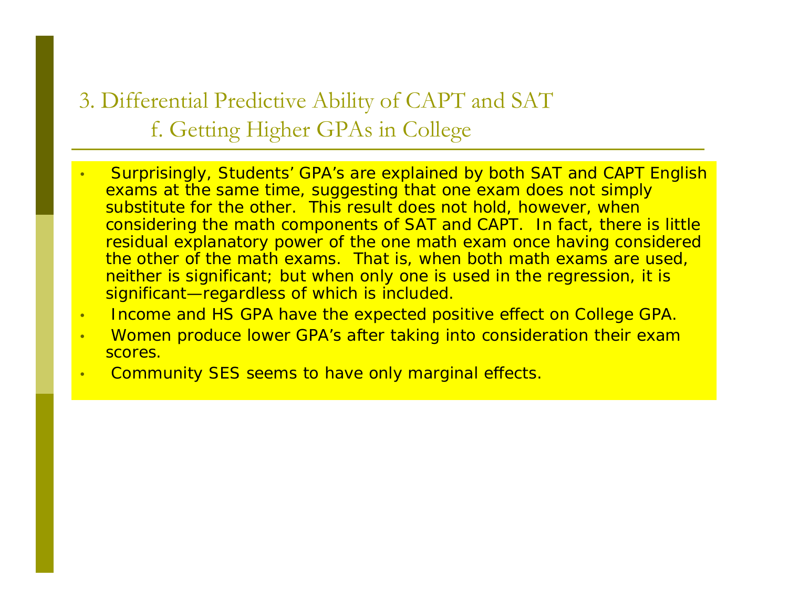3. Differential Predictive Ability of CAPT and SAT f. Getting Higher GPAs in College

- • Surprisingly, Students' GPA's are explained by both SAT and CAPT English exams at the same time, suggesting that one exam does not simply substitute for the other. This result does not hold, however, when considering the math components of SAT and CAPT. In fact, there is little residual explanatory power of the one math exam once having considered the other of the math exams. That is, when both math exams are used, neither is significant; but when only one is used in the regression, it is significant—regardless of which is included.
- •Income and HS GPA have the expected positive effect on College GPA.
- • Women produce lower GPA's after taking into consideration their exam scores.
- •Community SES seems to have only marginal effects.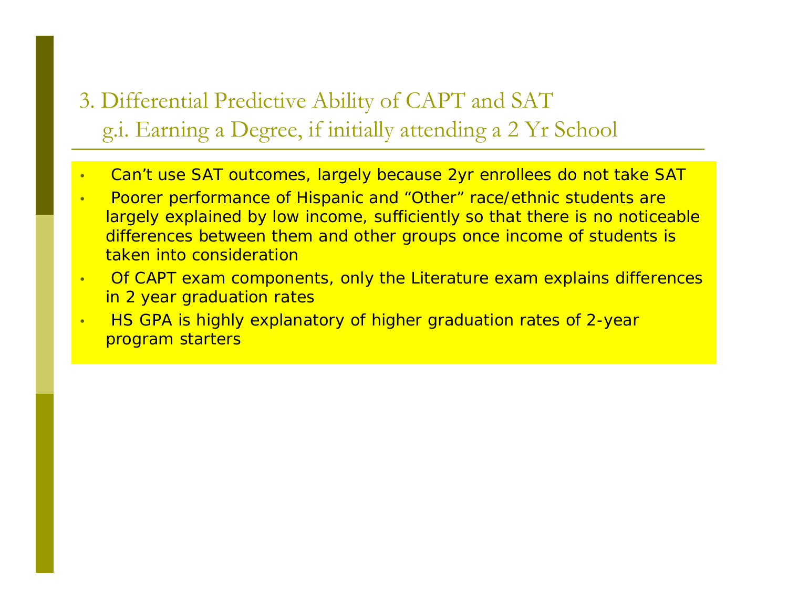## 3. Differential Predictive Ability of CAPT and SAT g.i. Earning a Degree, if initially attending a 2 Yr School

- •Can't use SAT outcomes, largely because 2yr enrollees do not take SAT
- • Poorer performance of Hispanic and "Other" race/ethnic students are largely explained by low income, sufficiently so that there is no noticeable differences between them and other groups once income of students is taken into consideration
- • Of CAPT exam components, only the Literature exam explains differences in 2 year graduation rates
- • HS GPA is highly explanatory of higher graduation rates of 2-year program starters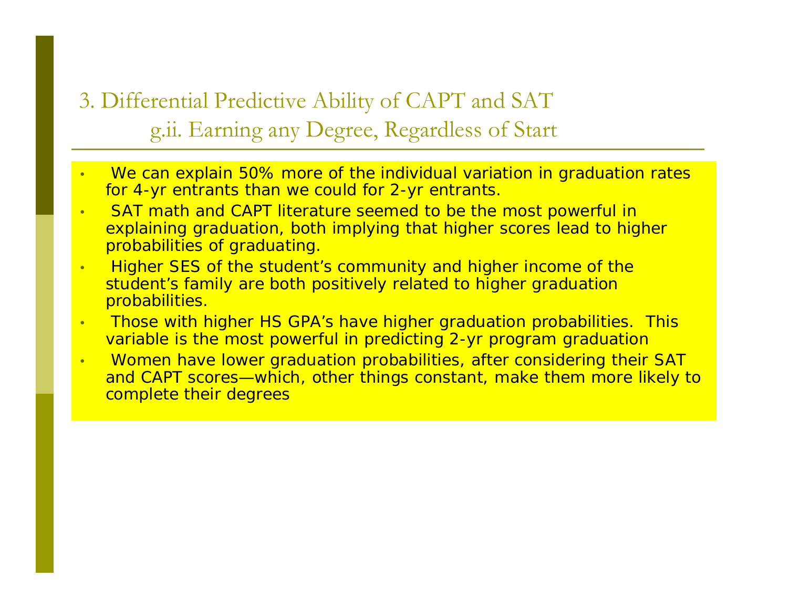3. Differential Predictive Ability of CAPT and SAT g.ii. Earning any Degree, Regardless of Start

- • We can explain 50% more of the individual variation in graduation rates for 4-yr entrants than we could for 2-yr entrants.
- • SAT math and CAPT literature seemed to be the most powerful in explaining graduation, both implying that higher scores lead to higher probabilities of graduating.
- • Higher SES of the student's community and higher income of the student's family are both positively related to higher graduation probabilities.
- • Those with higher HS GPA's have higher graduation probabilities. This variable is the most powerful in predicting 2-yr program graduation
- • Women have lower graduation probabilities, after considering their SAT and CAPT scores—which, other things constant, make them more likely to complete their degrees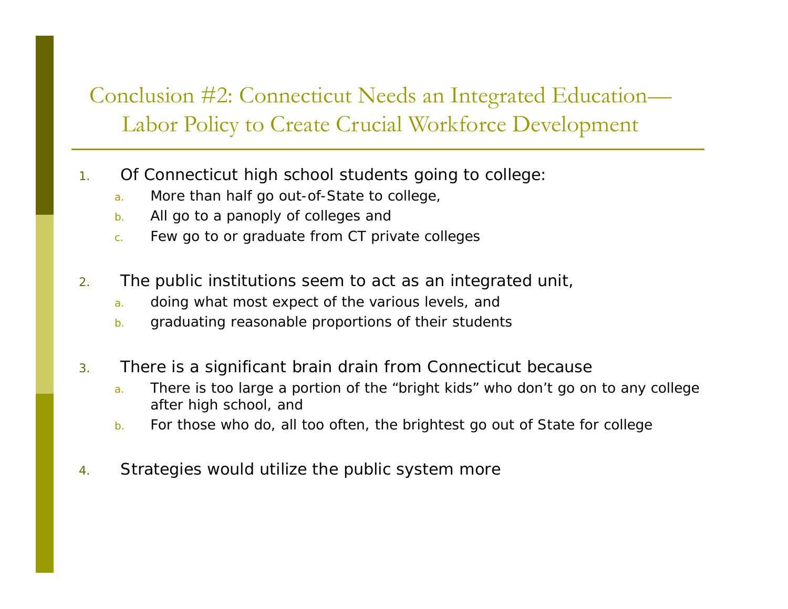## Conclusion #2: Connecticut Needs an Integrated Education— Labor Policy to Create Crucial Workforce Development

- 1. Of Connecticut high school students going to college:
	- a.More than half go out-of-State to college,
	- b.All go to a panoply of colleges and
	- c.Few go to or graduate from CT private colleges
- 2. The public institutions seem to act as an integrated unit,
	- a.doing what most expect of the various levels, and
	- b.graduating reasonable proportions of their students
- 3. There is a significant brain drain from Connecticut because
	- a. There is too large a portion of the "bright kids" who don't go on to any college after high school, and
	- b.For those who do, all too often, the brightest go out of State for college
- 4.Strategies would utilize the public system more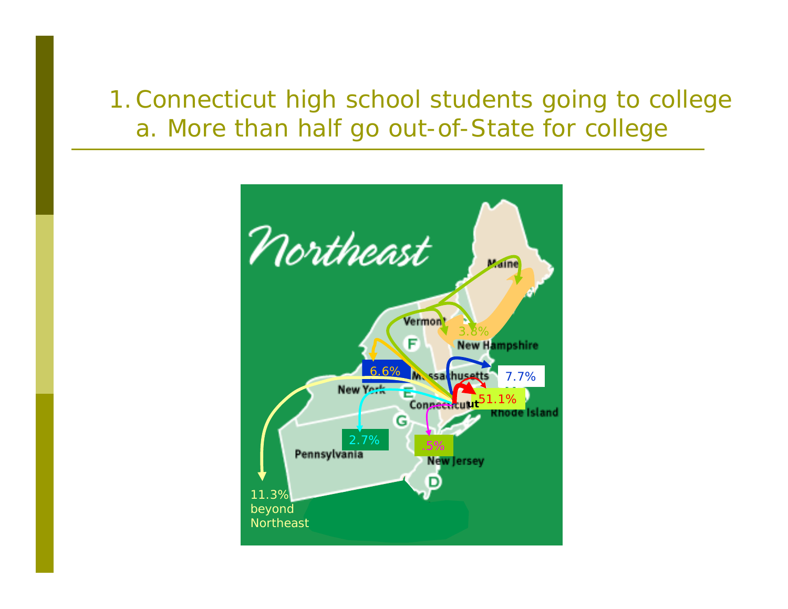# 1.Connecticut high school students going to college a. More than half go out-of-State for college

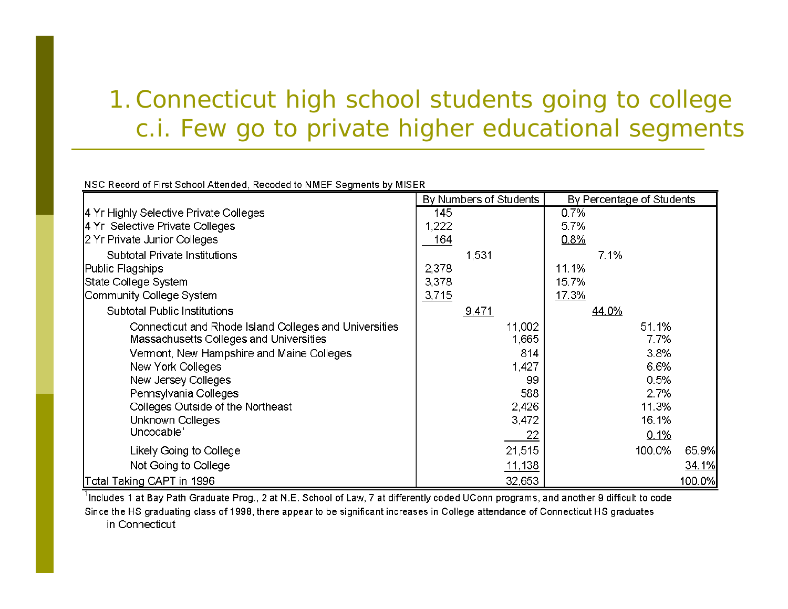# 1.Connecticut high school students going to college c.i. Few go to private higher educational segments

#### NSC Record of First School Attended, Recoded to NMEF Segments by MISER

|                                                        | By Numbers of Students |       | By Percentage of Students |              |       |         |        |
|--------------------------------------------------------|------------------------|-------|---------------------------|--------------|-------|---------|--------|
| 4 Yr Highly Selective Private Colleges                 | 145                    |       |                           | 0.7%         |       |         |        |
| 4 Yr Selective Private Colleges                        | 1,222                  |       |                           | 5.7%         |       |         |        |
| 2 Yr Private Junior Colleges                           | 164                    |       |                           | 0.8%         |       |         |        |
| Subtotal Private Institutions                          |                        | 1,531 |                           |              | 7.1%  |         |        |
| Public Flagships                                       | 2,378                  |       |                           | 11.1%        |       |         |        |
| State College System                                   | 3,378                  |       |                           | 15.7%        |       |         |        |
| Community College System                               | 3,715                  |       |                           | <u>17.3%</u> |       |         |        |
| Subtotal Public Institutions                           |                        | 9,471 |                           |              | 44.0% |         |        |
| Connecticut and Rhode Island Colleges and Universities |                        |       | 11,002                    |              |       | 51.1%   |        |
| Massachusetts Colleges and Universities                |                        |       | 1,665                     |              |       | 7.7%    |        |
| Vermont, New Hampshire and Maine Colleges              |                        |       | 814                       |              |       | 3.8%    |        |
| New York Colleges                                      |                        |       | 1,427                     |              |       | 6.6%    |        |
| New Jersey Colleges                                    |                        |       | 99                        |              |       | 0.5%    |        |
| Pennsylvania Colleges                                  |                        |       | 588                       |              |       | 2.7%    |        |
| Colleges Outside of the Northeast                      |                        |       | 2,426                     |              |       | 11.3%   |        |
| Unknown Colleges                                       |                        |       | 3,472                     |              |       | 16.1%   |        |
| Uncodable'                                             |                        |       | 22                        |              |       | $0.1\%$ |        |
| Likely Going to College                                |                        |       | 21,515                    |              |       | 100.0%  | 65.9%  |
| Not Going to College                                   |                        |       | 11,138                    |              |       |         | 34.1%  |
| Total Taking CAPT in 1996                              |                        |       | 32,653                    |              |       |         | 100.0% |

 $^1$ Includes 1 at Bay Path Graduate Prog., 2 at N.E. School of Law, 7 at differently coded UConn programs, and another 9 difficult to code Since the HS graduating class of 1998, there appear to be significant increases in College attendance of Connecticut HS graduates in Connecticut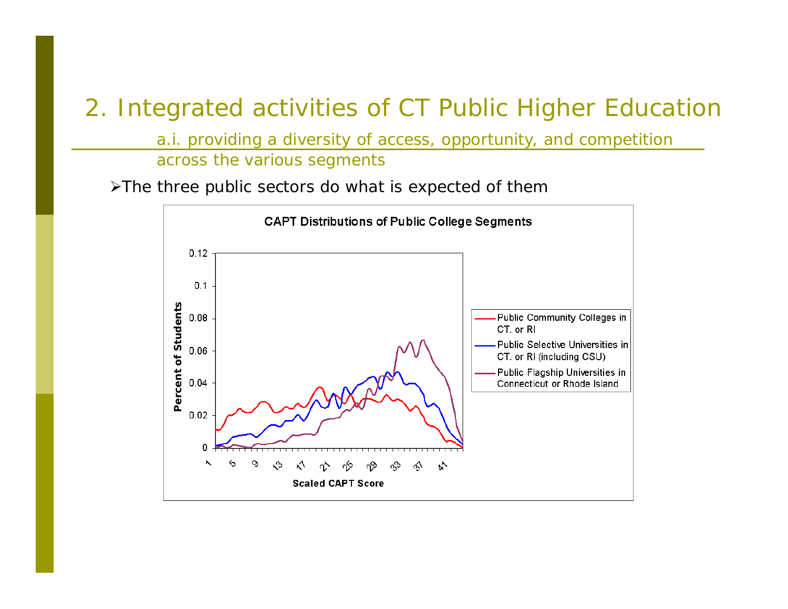a.i. providing a diversity of access, opportunity, and competition across the various segments

¾The three public sectors do what is expected of them

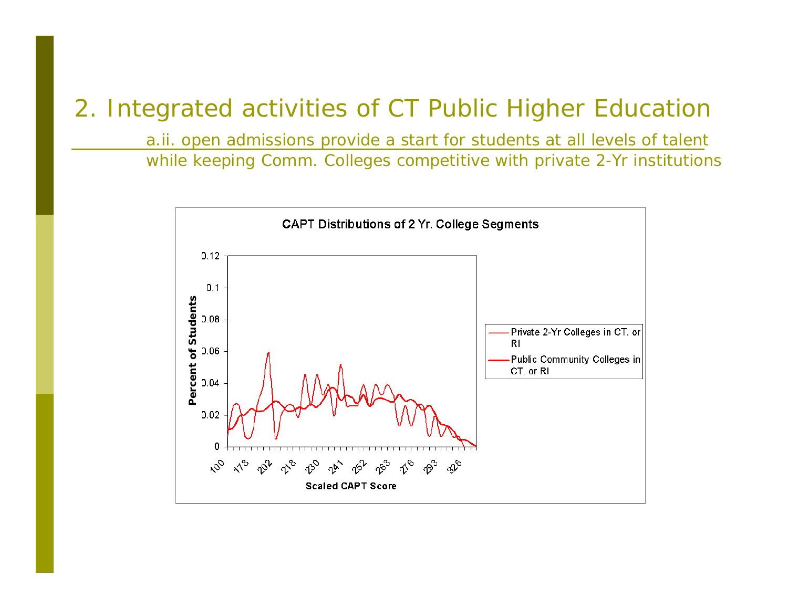a.ii. open admissions provide a start for students at all levels of talent while keeping Comm. Colleges competitive with private 2-Yr institutions

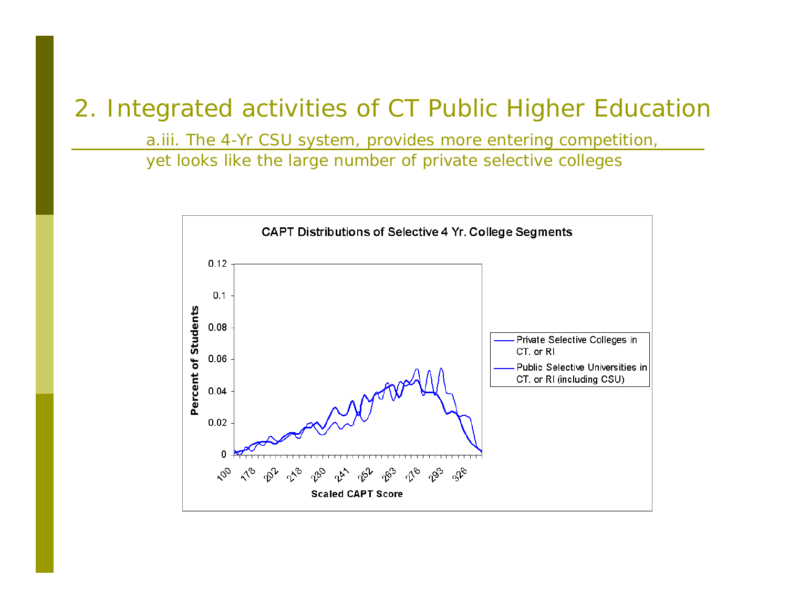a.iii. The 4-Yr CSU system, provides more entering competition,

yet looks like the large number of private selective colleges

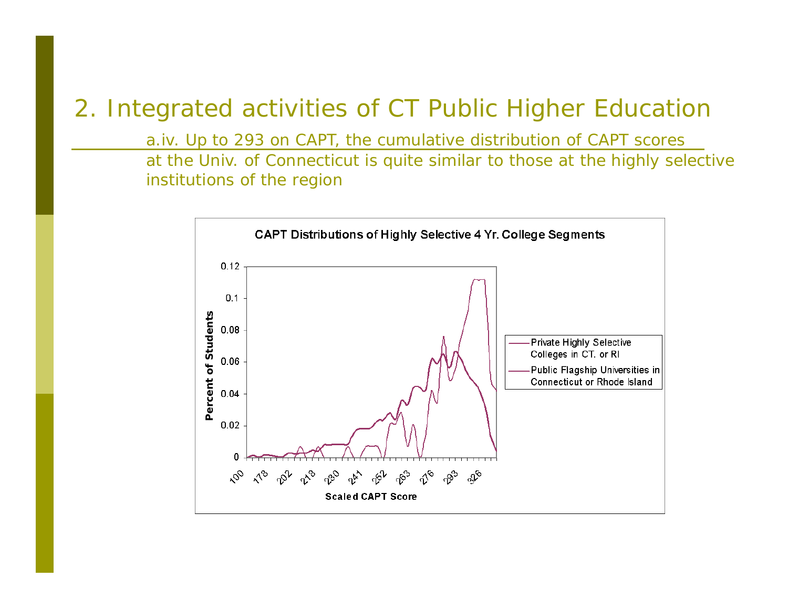a.iv. Up to 293 on CAPT, the cumulative distribution of CAPT scores

at the Univ. of Connecticut is quite similar to those at the highly selective institutions of the region

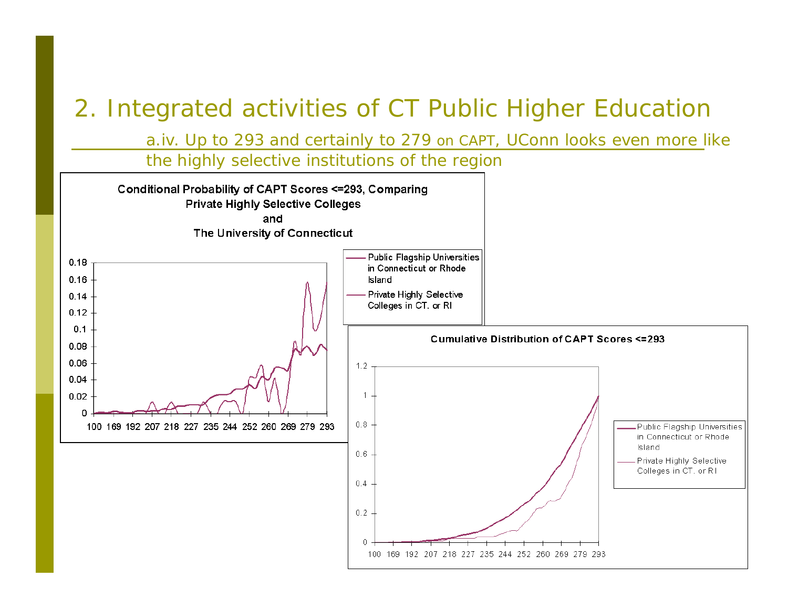a.iv. Up to 293 and certainly to 279 on CAPT, UConn looks even more like

the highly selective institutions of the regionConditional Probability of CAPT Scores <= 293, Comparing **Private Highly Selective Colleges** and The University of Connecticut Public Flagship Universities  $0.18$ in Connecticut or Rhode  $0.16$ **Island** Private Highly Selective  $0.14$ Colleges in CT. or RI  $0.12$  $0.1$ Cumulative Distribution of CAPT Scores <= 293  $0.08$ 0.06  $1.2$  $0.04$  $0.02$  $\mathbf{1}$ 0  $0.8 -$ 100 169 192 207 218 227 235 244 252 260 269 279 293 Public Flagship Universities in Connecticut or Rhode Island  $0.6 -$ Private Highly Selective Colleges in CT, or RI  $0.4$  $0.2$ 

 $\cap$ 

100 169 192 207 218 227 235 244 252 260 269 279 293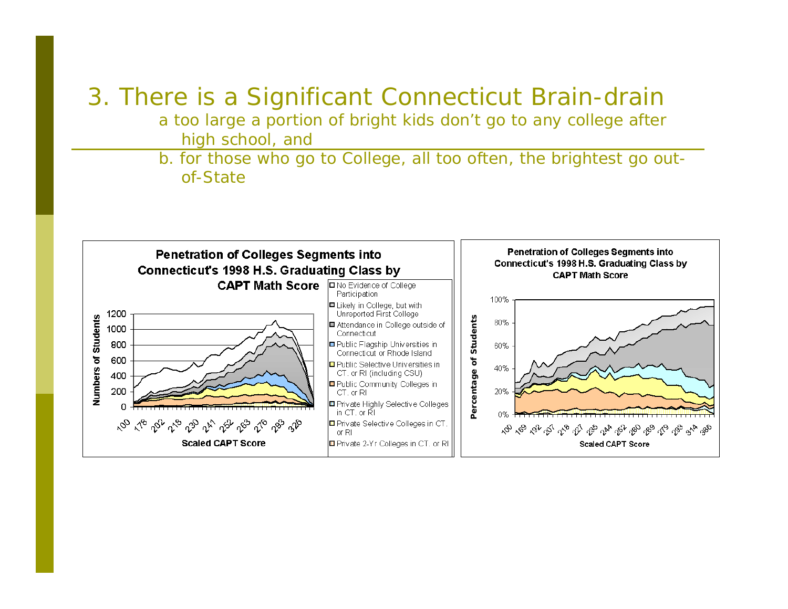# 3. There is a Significant Connecticut Brain-drain

a too large a portion of bright kids don't go to any college after high school, and

b. for those who go to College, all too often, the brightest go outof-State

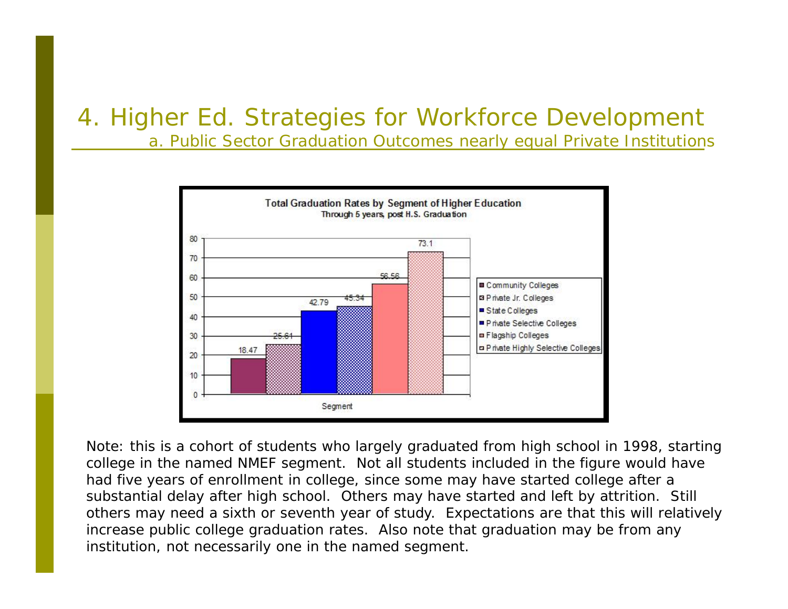a. Public Sector Graduation Outcomes nearly equal Private Institutions



Note: this is a cohort of students who largely graduated from high school in 1998, starting college in the named NMEF segment. Not all students included in the figure would have had five years of enrollment in college, since some may have started college after a substantial delay after high school. Others may have started and left by attrition. Still others may need a sixth or seventh year of study. Expectations are that this will relatively increase public college graduation rates. Also note that graduation may be from any institution, not necessarily one in the named segment.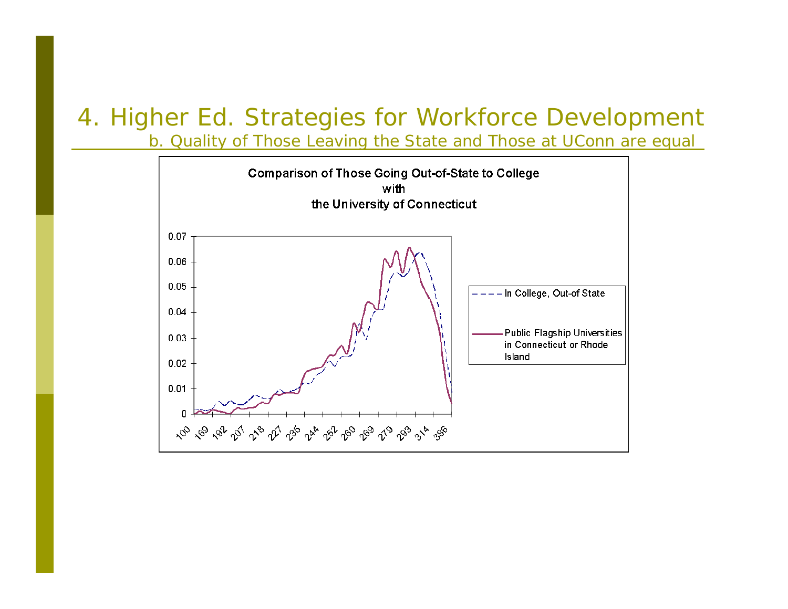b. Quality of Those Leaving the State and Those at UConn are equal

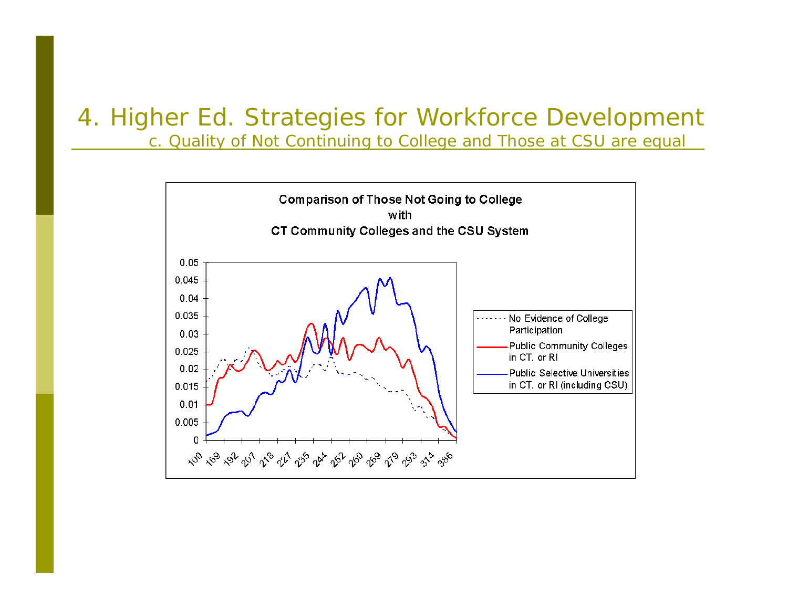c. Quality of Not Continuing to College and Those at CSU are equal